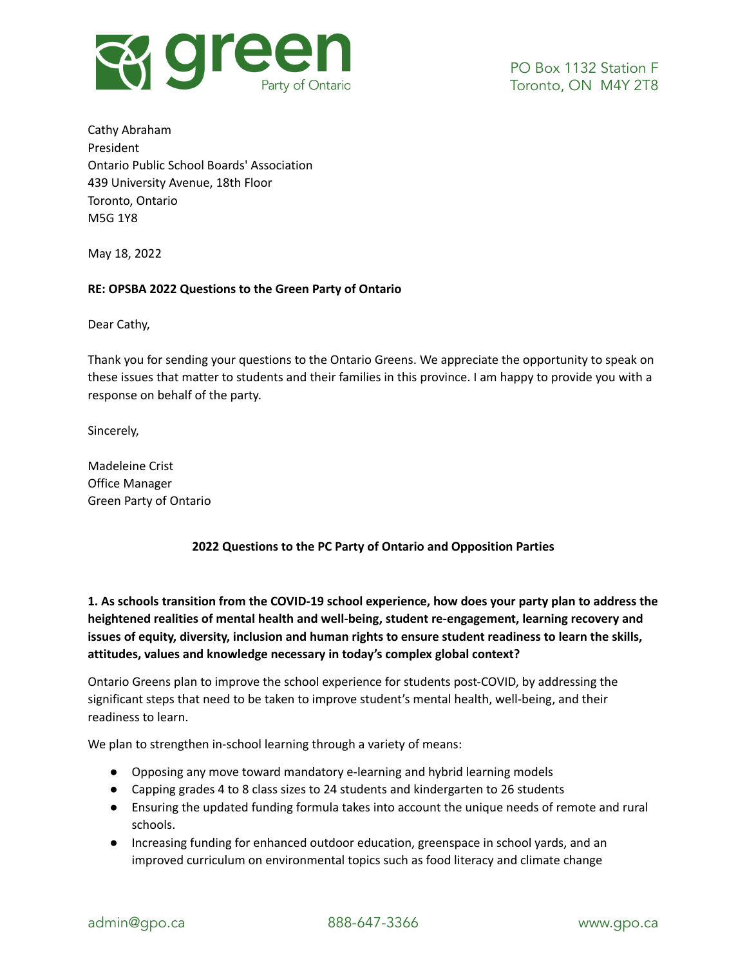

Cathy Abraham President Ontario Public School Boards' Association 439 University Avenue, 18th Floor Toronto, Ontario M5G 1Y8

May 18, 2022

### **RE: OPSBA 2022 Questions to the Green Party of Ontario**

Dear Cathy,

Thank you for sending your questions to the Ontario Greens. We appreciate the opportunity to speak on these issues that matter to students and their families in this province. I am happy to provide you with a response on behalf of the party.

Sincerely,

Madeleine Crist Office Manager Green Party of Ontario

### **2022 Questions to the PC Party of Ontario and Opposition Parties**

**1. As schools transition from the COVID-19 school experience, how does your party plan to address the heightened realities of mental health and well-being, student re-engagement, learning recovery and issues of equity, diversity, inclusion and human rights to ensure student readiness to learn the skills, attitudes, values and knowledge necessary in today's complex global context?**

Ontario Greens plan to improve the school experience for students post-COVID, by addressing the significant steps that need to be taken to improve student's mental health, well-being, and their readiness to learn.

We plan to strengthen in-school learning through a variety of means:

- Opposing any move toward mandatory e-learning and hybrid learning models
- Capping grades 4 to 8 class sizes to 24 students and kindergarten to 26 students
- Ensuring the updated funding formula takes into account the unique needs of remote and rural schools.
- Increasing funding for enhanced outdoor education, greenspace in school yards, and an improved curriculum on environmental topics such as food literacy and climate change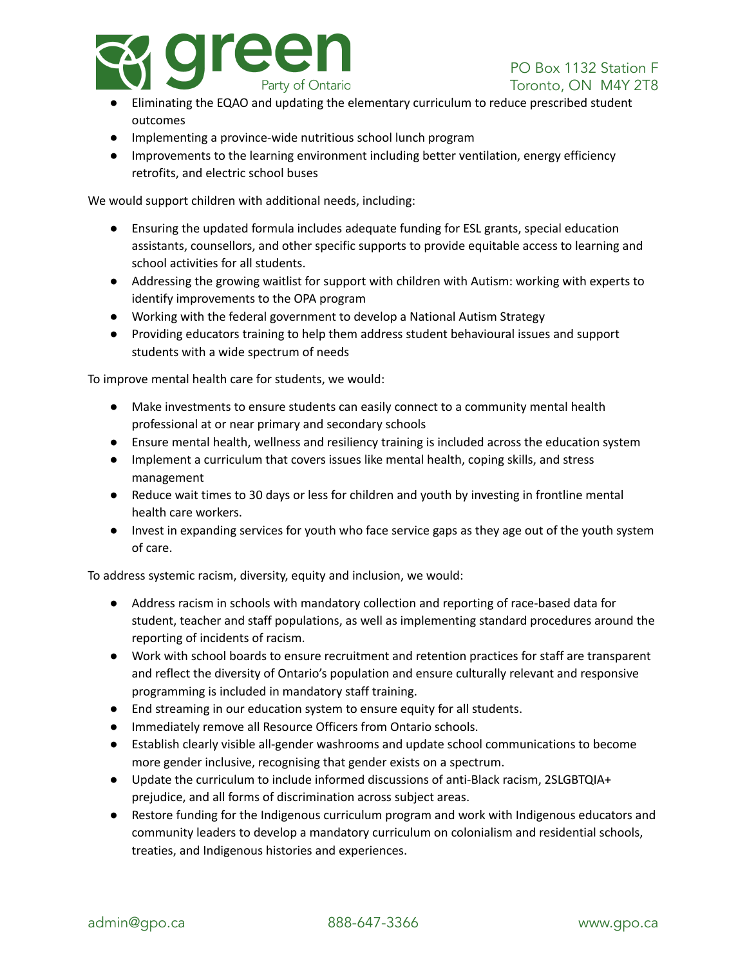

- Eliminating the EQAO and updating the elementary curriculum to reduce prescribed student outcomes
- Implementing a province-wide nutritious school lunch program
- Improvements to the learning environment including better ventilation, energy efficiency retrofits, and electric school buses

We would support children with additional needs, including:

- Ensuring the updated formula includes adequate funding for ESL grants, special education assistants, counsellors, and other specific supports to provide equitable access to learning and school activities for all students.
- Addressing the growing waitlist for support with children with Autism: working with experts to identify improvements to the OPA program
- Working with the federal government to develop a National Autism Strategy
- Providing educators training to help them address student behavioural issues and support students with a wide spectrum of needs

To improve mental health care for students, we would:

- Make investments to ensure students can easily connect to a community mental health professional at or near primary and secondary schools
- Ensure mental health, wellness and resiliency training is included across the education system
- Implement a curriculum that covers issues like mental health, coping skills, and stress management
- Reduce wait times to 30 days or less for children and youth by investing in frontline mental health care workers.
- Invest in expanding services for youth who face service gaps as they age out of the youth system of care.

To address systemic racism, diversity, equity and inclusion, we would:

- Address racism in schools with mandatory collection and reporting of race-based data for student, teacher and staff populations, as well as implementing standard procedures around the reporting of incidents of racism.
- Work with school boards to ensure recruitment and retention practices for staff are transparent and reflect the diversity of Ontario's population and ensure culturally relevant and responsive programming is included in mandatory staff training.
- End streaming in our education system to ensure equity for all students.
- Immediately remove all Resource Officers from Ontario schools.
- Establish clearly visible all-gender washrooms and update school communications to become more gender inclusive, recognising that gender exists on a spectrum.
- Update the curriculum to include informed discussions of anti-Black racism, 2SLGBTQIA+ prejudice, and all forms of discrimination across subject areas.
- Restore funding for the Indigenous curriculum program and work with Indigenous educators and community leaders to develop a mandatory curriculum on colonialism and residential schools, treaties, and Indigenous histories and experiences.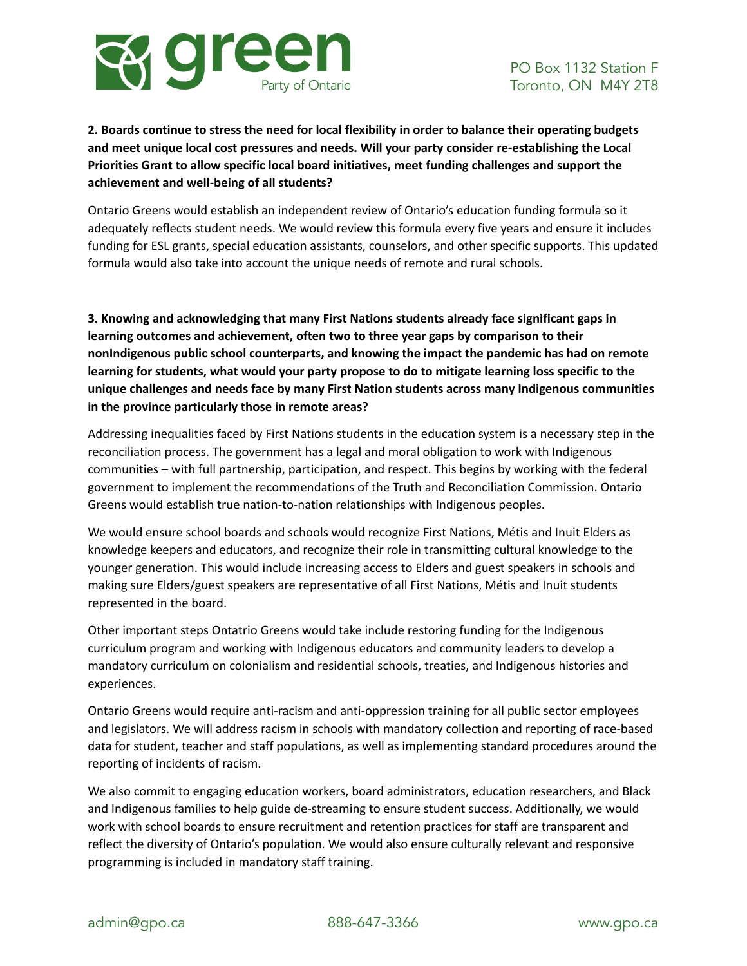

# **2. Boards continue to stress the need for local flexibility in order to balance their operating budgets and meet unique local cost pressures and needs. Will your party consider re-establishing the Local Priorities Grant to allow specific local board initiatives, meet funding challenges and support the achievement and well-being of all students?**

Ontario Greens would establish an independent review of Ontario's education funding formula so it adequately reflects student needs. We would review this formula every five years and ensure it includes funding for ESL grants, special education assistants, counselors, and other specific supports. This updated formula would also take into account the unique needs of remote and rural schools.

**3. Knowing and acknowledging that many First Nations students already face significant gaps in learning outcomes and achievement, often two to three year gaps by comparison to their nonIndigenous public school counterparts, and knowing the impact the pandemic has had on remote learning for students, what would your party propose to do to mitigate learning loss specific to the unique challenges and needs face by many First Nation students across many Indigenous communities in the province particularly those in remote areas?**

Addressing inequalities faced by First Nations students in the education system is a necessary step in the reconciliation process. The government has a legal and moral obligation to work with Indigenous communities – with full partnership, participation, and respect. This begins by working with the federal government to implement the recommendations of the Truth and Reconciliation Commission. Ontario Greens would establish true nation-to-nation relationships with Indigenous peoples.

We would ensure school boards and schools would recognize First Nations, Métis and Inuit Elders as knowledge keepers and educators, and recognize their role in transmitting cultural knowledge to the younger generation. This would include increasing access to Elders and guest speakers in schools and making sure Elders/guest speakers are representative of all First Nations, Métis and Inuit students represented in the board.

Other important steps Ontatrio Greens would take include restoring funding for the Indigenous curriculum program and working with Indigenous educators and community leaders to develop a mandatory curriculum on colonialism and residential schools, treaties, and Indigenous histories and experiences.

Ontario Greens would require anti-racism and anti-oppression training for all public sector employees and legislators. We will address racism in schools with mandatory collection and reporting of race-based data for student, teacher and staff populations, as well as implementing standard procedures around the reporting of incidents of racism.

We also commit to engaging education workers, board administrators, education researchers, and Black and Indigenous families to help guide de-streaming to ensure student success. Additionally, we would work with school boards to ensure recruitment and retention practices for staff are transparent and reflect the diversity of Ontario's population. We would also ensure culturally relevant and responsive programming is included in mandatory staff training.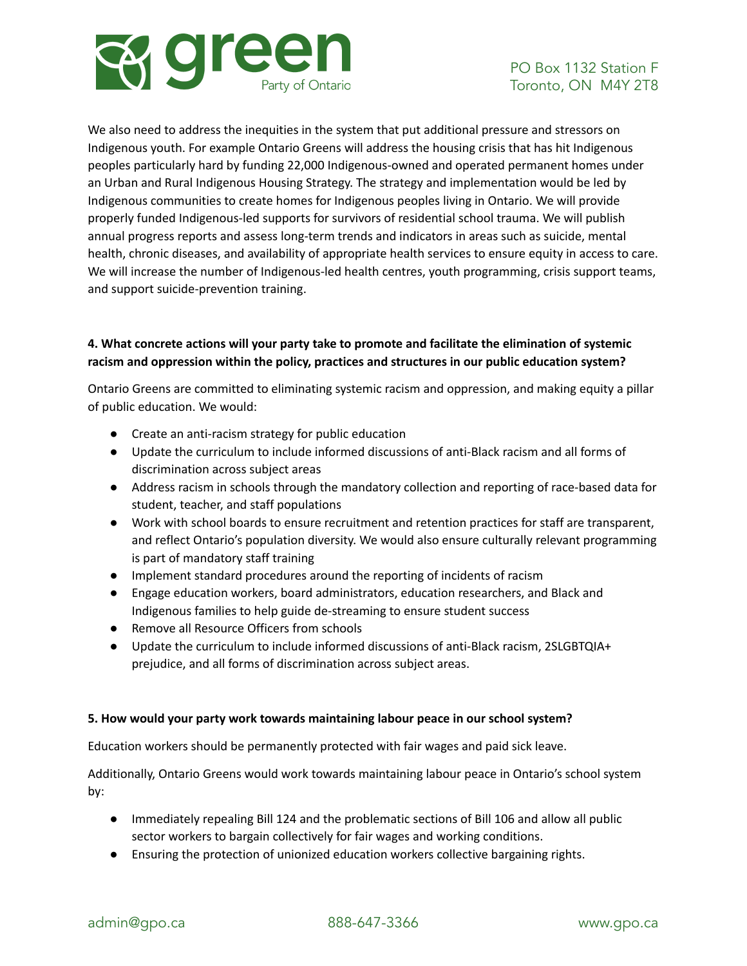

We also need to address the inequities in the system that put additional pressure and stressors on Indigenous youth. For example Ontario Greens will address the housing crisis that has hit Indigenous peoples particularly hard by funding 22,000 Indigenous-owned and operated permanent homes under an Urban and Rural Indigenous Housing Strategy. The strategy and implementation would be led by Indigenous communities to create homes for Indigenous peoples living in Ontario. We will provide properly funded Indigenous-led supports for survivors of residential school trauma. We will publish annual progress reports and assess long-term trends and indicators in areas such as suicide, mental health, chronic diseases, and availability of appropriate health services to ensure equity in access to care. We will increase the number of Indigenous-led health centres, youth programming, crisis support teams, and support suicide-prevention training.

## **4. What concrete actions will your party take to promote and facilitate the elimination of systemic racism and oppression within the policy, practices and structures in our public education system?**

Ontario Greens are committed to eliminating systemic racism and oppression, and making equity a pillar of public education. We would:

- Create an anti-racism strategy for public education
- Update the curriculum to include informed discussions of anti-Black racism and all forms of discrimination across subject areas
- Address racism in schools through the mandatory collection and reporting of race-based data for student, teacher, and staff populations
- Work with school boards to ensure recruitment and retention practices for staff are transparent, and reflect Ontario's population diversity. We would also ensure culturally relevant programming is part of mandatory staff training
- Implement standard procedures around the reporting of incidents of racism
- Engage education workers, board administrators, education researchers, and Black and Indigenous families to help guide de-streaming to ensure student success
- Remove all Resource Officers from schools
- Update the curriculum to include informed discussions of anti-Black racism, 2SLGBTQIA+ prejudice, and all forms of discrimination across subject areas.

### **5. How would your party work towards maintaining labour peace in our school system?**

Education workers should be permanently protected with fair wages and paid sick leave.

Additionally, Ontario Greens would work towards maintaining labour peace in Ontario's school system by:

- Immediately repealing Bill 124 and the problematic sections of Bill 106 and allow all public sector workers to bargain collectively for fair wages and working conditions.
- Ensuring the protection of unionized education workers collective bargaining rights.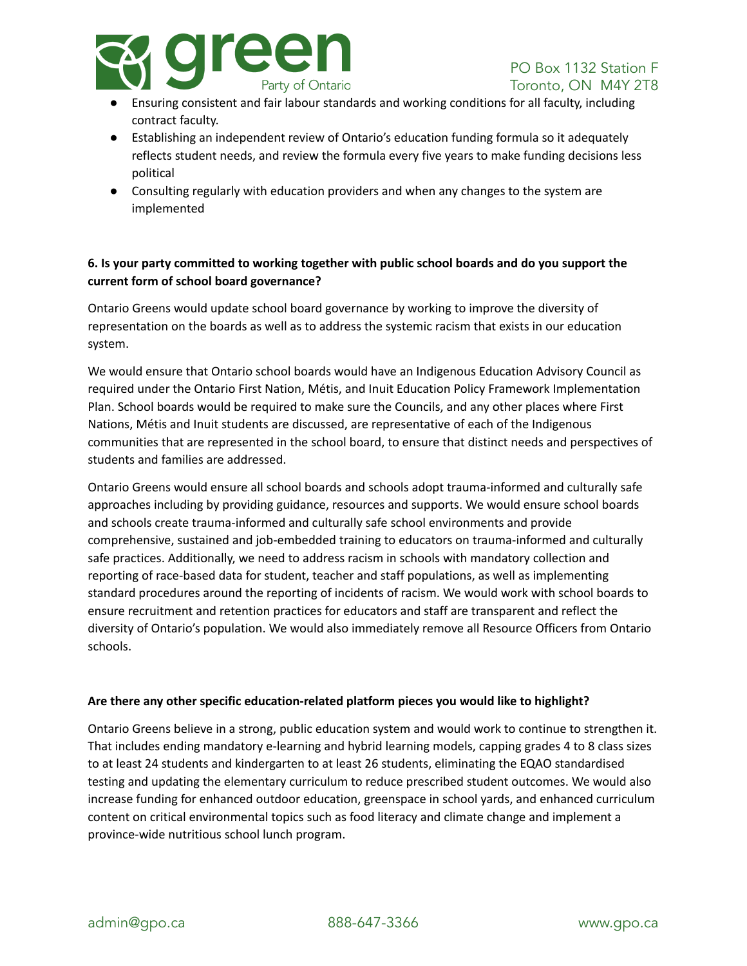

- Ensuring consistent and fair labour standards and working conditions for all faculty, including contract faculty.
- Establishing an independent review of Ontario's education funding formula so it adequately reflects student needs, and review the formula every five years to make funding decisions less political
- Consulting regularly with education providers and when any changes to the system are implemented

### **6. Is your party committed to working together with public school boards and do you support the current form of school board governance?**

Ontario Greens would update school board governance by working to improve the diversity of representation on the boards as well as to address the systemic racism that exists in our education system.

We would ensure that Ontario school boards would have an Indigenous Education Advisory Council as required under the Ontario First Nation, Métis, and Inuit Education Policy Framework Implementation Plan. School boards would be required to make sure the Councils, and any other places where First Nations, Métis and Inuit students are discussed, are representative of each of the Indigenous communities that are represented in the school board, to ensure that distinct needs and perspectives of students and families are addressed.

Ontario Greens would ensure all school boards and schools adopt trauma-informed and culturally safe approaches including by providing guidance, resources and supports. We would ensure school boards and schools create trauma-informed and culturally safe school environments and provide comprehensive, sustained and job-embedded training to educators on trauma-informed and culturally safe practices. Additionally, we need to address racism in schools with mandatory collection and reporting of race-based data for student, teacher and staff populations, as well as implementing standard procedures around the reporting of incidents of racism. We would work with school boards to ensure recruitment and retention practices for educators and staff are transparent and reflect the diversity of Ontario's population. We would also immediately remove all Resource Officers from Ontario schools.

### **Are there any other specific education-related platform pieces you would like to highlight?**

Ontario Greens believe in a strong, public education system and would work to continue to strengthen it. That includes ending mandatory e-learning and hybrid learning models, capping grades 4 to 8 class sizes to at least 24 students and kindergarten to at least 26 students, eliminating the EQAO standardised testing and updating the elementary curriculum to reduce prescribed student outcomes. We would also increase funding for enhanced outdoor education, greenspace in school yards, and enhanced curriculum content on critical environmental topics such as food literacy and climate change and implement a province-wide nutritious school lunch program.